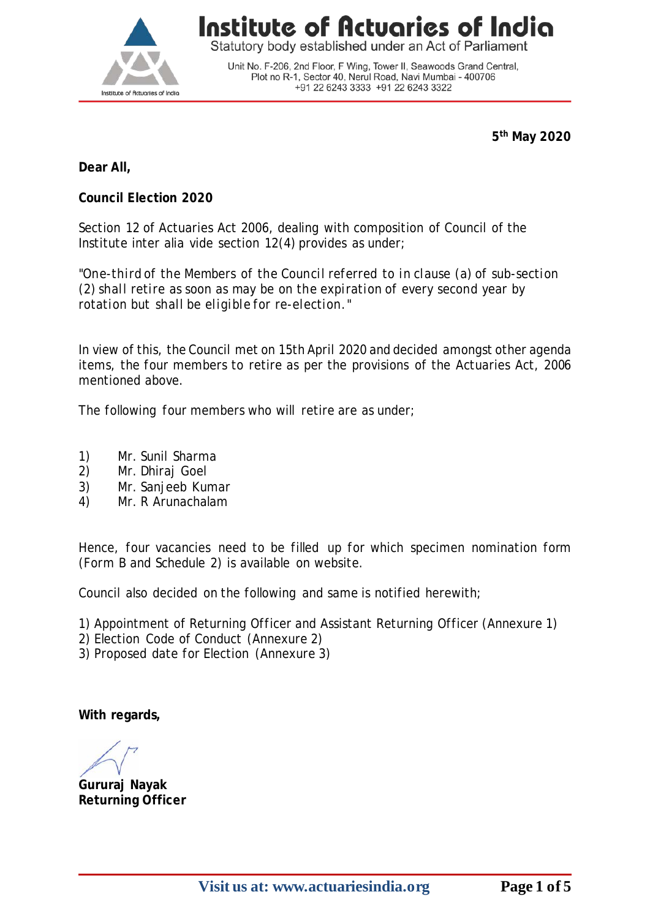

Statutory body established under an Act of Parliament

Unit No. F-206, 2nd Floor, F Wing, Tower II, Seawoods Grand Central, Plot no R-1, Sector 40, Nerul Road, Navi Mumbai - 400706 +91 22 6243 3333 +91 22 6243 3322

**5th May 2020**

**Dear All,**

**Council Election 2020**

Section 12 of Actuaries Act 2006, dealing with composition of Council of the Institute inter alia vide section 12(4) provides as under;

*"One-third of the Members of the Council referred to in clause (a) of sub-section (2) shall retire as soon as may be on the expiration of every second year by rotation but shall be eligible for re-election."*

In view of this, the Council met on 15th April 2020 and decided amongst other agenda items, the four members to retire as per the provisions of the Actuaries Act, 2006 mentioned above.

The following four members who will retire are as under;

- 1) Mr. Sunil Sharma<br>2) Mr. Dhirai Goel
- 2) Mr. Dhiraj Goel
- 3) Mr. Sanjeeb Kumar
- 4) Mr. R Arunachalam

Hence, four vacancies need to be filled up for which specimen nomination form (Form B and Schedule 2) is available on website.

Council also decided on the following and same is notified herewith;

1) Appointment of Returning Officer and Assistant Returning Officer (Annexure 1)

2) Election Code of Conduct (Annexure 2)

3) Proposed date for Election (Annexure 3)

**With regards,**

**Gururaj Nayak Returning Officer**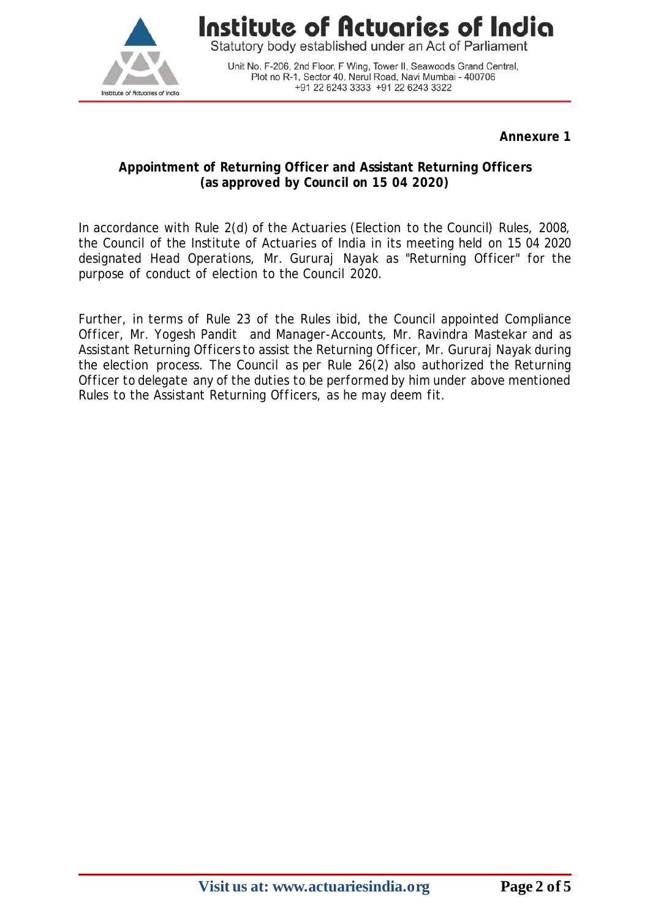

Statutory body established under an Act of Parliament

Unit No. F-206, 2nd Floor, F Wing, Tower II, Seawoods Grand Central, Plot no R-1, Sector 40, Nerul Road, Navi Mumbai - 400706 +91 22 6243 3333 +91 22 6243 3322

**Annexure 1**

#### **Appointment of Returning Officer and Assistant Returning Officers (as approved by Council on 15 04 2020)**

In accordance with Rule 2(d) of the Actuaries (Election to the Council) Rules, 2008, the Council of the Institute of Actuaries of India in its meeting held on 15 04 2020 designated Head Operations, Mr. Gururaj Nayak as "Returning Officer" for the purpose of conduct of election to the Council 2020.

Further, in terms of Rule 23 of the Rules ibid, the Council appointed Compliance Officer, Mr. Yogesh Pandit and Manager-Accounts, Mr. Ravindra Mastekar and as Assistant Returning Officers to assist the Returning Officer, Mr. Gururaj Nayak during the election process. The Council as per Rule 26(2) also authorized the Returning Officer to delegate any of the duties to be performed by him under above mentioned Rules to the Assistant Returning Officers, as he may deem fit.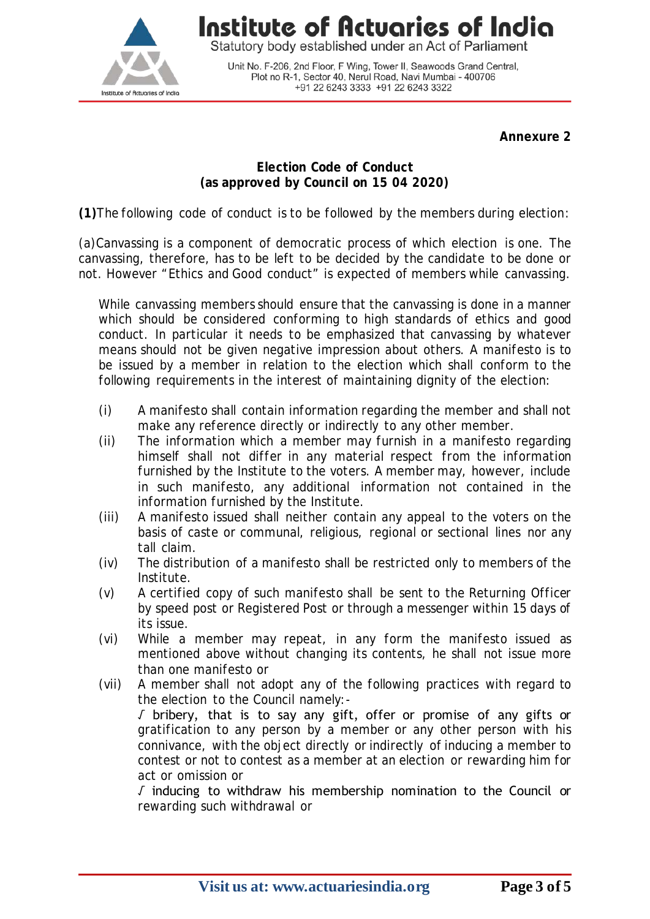

Statutory body established under an Act of Parliament

Unit No. F-206, 2nd Floor, F Wing, Tower II, Seawoods Grand Central,<br>Plot no R-1, Sector 40, Nerul Road, Navi Mumbai - 400706 +91 22 6243 3333 +91 22 6243 3322

**Annexure 2**

#### **Election Code of Conduct (as approved by Council on 15 04 2020)**

**(1)**The following code of conduct is to be followed by the members during election:

(a)Canvassing is a component of democratic process of which election is one. The canvassing, therefore, has to be left to be decided by the candidate to be done or not. However "Ethics and Good conduct" is expected of members while canvassing.

While canvassing members should ensure that the canvassing is done in a manner which should be considered conforming to high standards of ethics and good conduct. In particular it needs to be emphasized that canvassing by whatever means should not be given negative impression about others. A manifesto is to be issued by a member in relation to the election which shall conform to the following requirements in the interest of maintaining dignity of the election:

- (i) A manifesto shall contain information regarding the member and shall not make any reference directly or indirectly to any other member.
- (ii) The information which a member may furnish in a manifesto regarding himself shall not differ in any material respect from the information furnished by the Institute to the voters. A member may, however, include in such manifesto, any additional information not contained in the information furnished by the Institute.
- (iii) A manifesto issued shall neither contain any appeal to the voters on the basis of caste or communal, religious, regional or sectional lines nor any tall claim.
- (iv) The distribution of a manifesto shall be restricted only to members of the Institute.
- (v) A certified copy of such manifesto shall be sent to the Returning Officer by speed post or Registered Post or through a messenger within 15 days of its issue.
- (vi) While a member may repeat, in any form the manifesto issued as mentioned above without changing its contents, he shall not issue more than one manifesto or
- (vii) A member shall not adopt any of the following practices with regard to the election to the Council namely:- √ bribery, that is to say any gift, offer or promise of any gifts or gratification to any person by a member or any other person with his connivance, with the object directly or indirectly of inducing a member to contest or not to contest as a member at an election or rewarding him for act or omission or

√ inducing to withdraw his membership nomination to the Council or rewarding such withdrawal or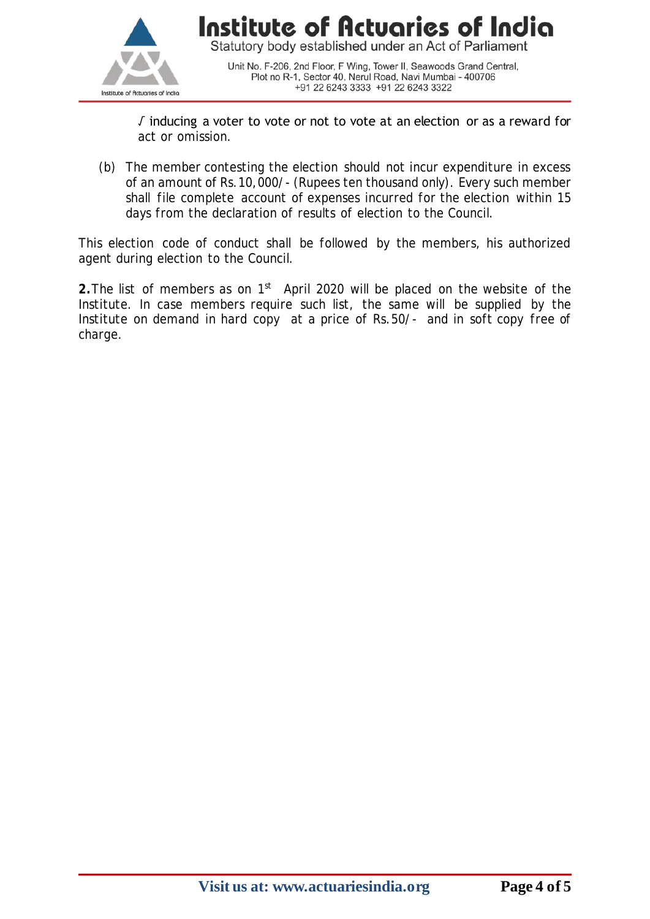

Unit No. F-206, 2nd Floor, F Wing, Tower II, Seawoods Grand Central, Plot no R-1, Sector 40, Nerul Road, Navi Mumbai - 400706 +91 22 6243 3333 +91 22 6243 3322

√ inducing a voter to vote or not to vote at an election or as a reward for act or omission.

(b) The member contesting the election should not incur expenditure in excess of an amount of Rs.10,000/- (Rupees ten thousand only). Every such member shall file complete account of expenses incurred for the election within 15 days from the declaration of results of election to the Council.

This election code of conduct shall be followed by the members, his authorized agent during election to the Council.

**2.**The list of members as on 1st April 2020 will be placed on the website of the Institute. In case members require such list, the same will be supplied by the Institute on demand in hard copy at a price of Rs.50/- and in soft copy free of charge.